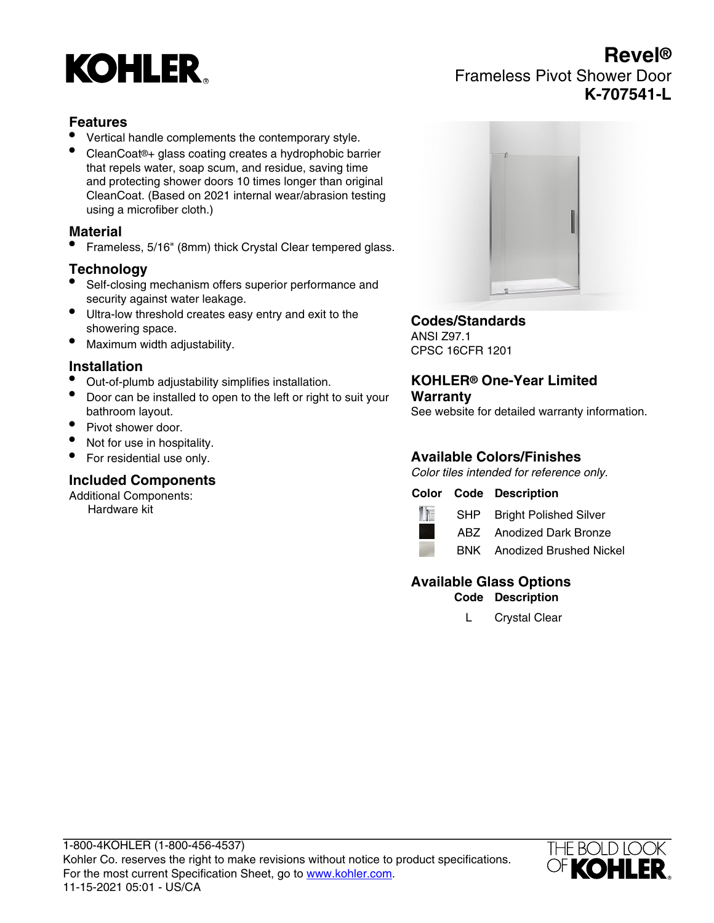# **KOHLER**

# **Revel®** Frameless Pivot Shower Door **K-707541-L**

## **Features**

- Vertical handle complements the contemporary style.
- CleanCoat®+ glass coating creates a hydrophobic barrier that repels water, soap scum, and residue, saving time and protecting shower doors 10 times longer than original CleanCoat. (Based on 2021 internal wear/abrasion testing using a microfiber cloth.)

#### **Material**

• Frameless, 5/16" (8mm) thick Crystal Clear tempered glass.

#### **Technology**

- Self-closing mechanism offers superior performance and security against water leakage.
- Ultra-low threshold creates easy entry and exit to the showering space.
- Maximum width adjustability.

#### **Installation**

- Out-of-plumb adjustability simplifies installation.
- Door can be installed to open to the left or right to suit your bathroom layout.
- Pivot shower door.
- Not for use in hospitality.
- For residential use only.

#### **Included Components**

Additional Components: Hardware kit



### **Codes/Standards**

ANSI Z97.1 CPSC 16CFR 1201

#### **KOHLER® One-Year Limited Warranty**

See website for detailed warranty information.

# **Available Colors/Finishes**

Color tiles intended for reference only.

#### **Color Code Description**



SHP Bright Polished Silver ABZ Anodized Dark Bronze



BNK Anodized Brushed Nickel

# **Available Glass Options**

**Code Description**

L Crystal Clear